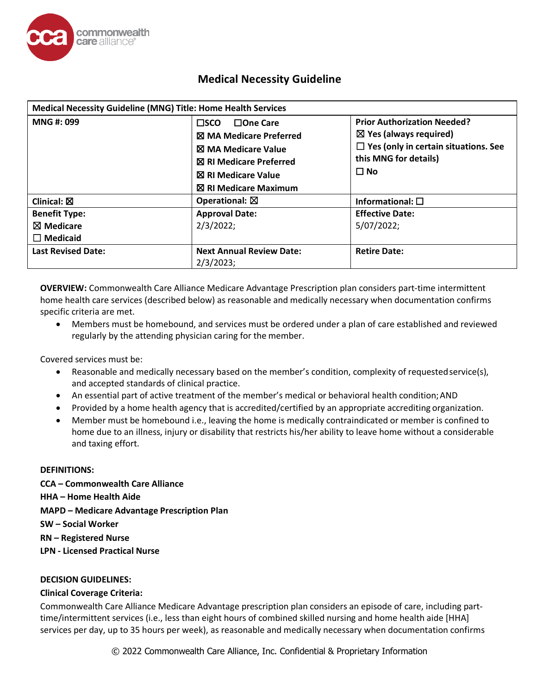

| Medical Necessity Guideline (MNG) Title: Home Health Services   |                                                                                                                                                                                                                                                                                                                                                                     |                          |
|-----------------------------------------------------------------|---------------------------------------------------------------------------------------------------------------------------------------------------------------------------------------------------------------------------------------------------------------------------------------------------------------------------------------------------------------------|--------------------------|
| MNG #: 099                                                      | <b>Prior Authorization Needed?</b><br>$\Box$ One Care<br>$\square$ sco<br>$\boxtimes$ Yes (always required)<br><b>X</b> MA Medicare Preferred<br>$\Box$ Yes (only in certain situations. See<br><b>冈 MA Medicare Value</b><br>this MNG for details)<br><b>冈 RI Medicare Preferred</b><br>$\Box$ No<br><b>冈 RI Medicare Value</b><br>$\boxtimes$ RI Medicare Maximum |                          |
| Clinical: $\boxtimes$                                           | Operational: $\boxtimes$                                                                                                                                                                                                                                                                                                                                            | Informational: $\square$ |
| <b>Benefit Type:</b><br>$\boxtimes$ Medicare<br>$\Box$ Medicaid | <b>Approval Date:</b><br><b>Effective Date:</b><br>2/3/2022;<br>5/07/2022;                                                                                                                                                                                                                                                                                          |                          |
| <b>Last Revised Date:</b>                                       | <b>Next Annual Review Date:</b><br>2/3/2023;                                                                                                                                                                                                                                                                                                                        | <b>Retire Date:</b>      |

**OVERVIEW:** Commonwealth Care Alliance Medicare Advantage Prescription plan considers part-time intermittent home health care services (described below) as reasonable and medically necessary when documentation confirms specific criteria are met.

• Members must be homebound, and services must be ordered under a plan of care established and reviewed regularly by the attending physician caring for the member.

Covered services must be:

- Reasonable and medically necessary based on the member's condition, complexity of requested service(s), and accepted standards of clinical practice.
- An essential part of active treatment of the member's medical or behavioral health condition;AND
- Provided by a home health agency that is accredited/certified by an appropriate accrediting organization.
- Member must be homebound i.e., leaving the home is medically contraindicated or member is confined to home due to an illness, injury or disability that restricts his/her ability to leave home without a considerable and taxing effort.

## **DEFINITIONS:**

**CCA – Commonwealth Care Alliance HHA – Home Health Aide MAPD – Medicare Advantage Prescription Plan SW – Social Worker RN – Registered Nurse LPN - Licensed Practical Nurse**

## **DECISION GUIDELINES:**

## **Clinical Coverage Criteria:**

Commonwealth Care Alliance Medicare Advantage prescription plan considers an episode of care, including parttime/intermittent services (i.e., less than eight hours of combined skilled nursing and home health aide [HHA] services per day, up to 35 hours per week), as reasonable and medically necessary when documentation confirms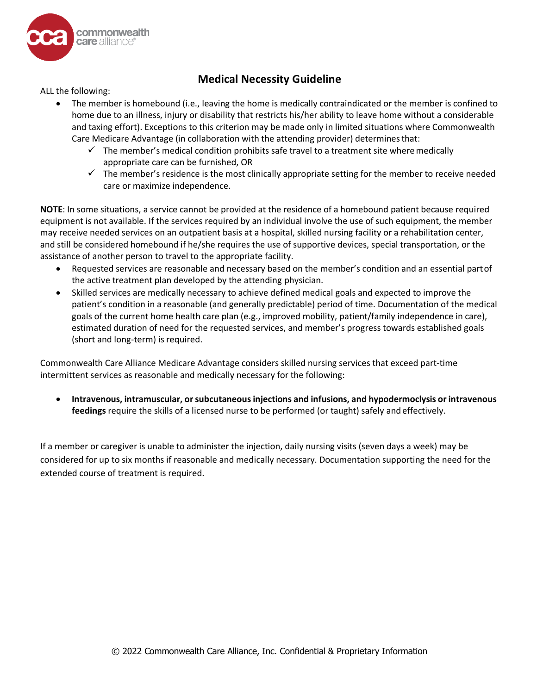

ALL the following:

- The member is homebound (i.e., leaving the home is medically contraindicated or the member is confined to home due to an illness, injury or disability that restricts his/her ability to leave home without a considerable and taxing effort). Exceptions to this criterion may be made only in limited situations where Commonwealth Care Medicare Advantage (in collaboration with the attending provider) determinesthat:
	- $\checkmark$  The member's medical condition prohibits safe travel to a treatment site where medically appropriate care can be furnished, OR
	- $\checkmark$  The member's residence is the most clinically appropriate setting for the member to receive needed care or maximize independence.

**NOTE**: In some situations, a service cannot be provided at the residence of a homebound patient because required equipment is not available. If the services required by an individual involve the use of such equipment, the member may receive needed services on an outpatient basis at a hospital, skilled nursing facility or a rehabilitation center, and still be considered homebound if he/she requires the use of supportive devices, special transportation, or the assistance of another person to travel to the appropriate facility.

- Requested services are reasonable and necessary based on the member's condition and an essential partof the active treatment plan developed by the attending physician.
- Skilled services are medically necessary to achieve defined medical goals and expected to improve the patient's condition in a reasonable (and generally predictable) period of time. Documentation of the medical goals of the current home health care plan (e.g., improved mobility, patient/family independence in care), estimated duration of need for the requested services, and member's progress towards established goals (short and long-term) is required.

Commonwealth Care Alliance Medicare Advantage considers skilled nursing services that exceed part-time intermittent services as reasonable and medically necessary for the following:

• **Intravenous, intramuscular, orsubcutaneousinjections and infusions, and hypodermoclysis or intravenous feedings** require the skills of a licensed nurse to be performed (or taught) safely and effectively.

If a member or caregiver is unable to administer the injection, daily nursing visits (seven days a week) may be considered for up to six months if reasonable and medically necessary. Documentation supporting the need for the extended course of treatment is required.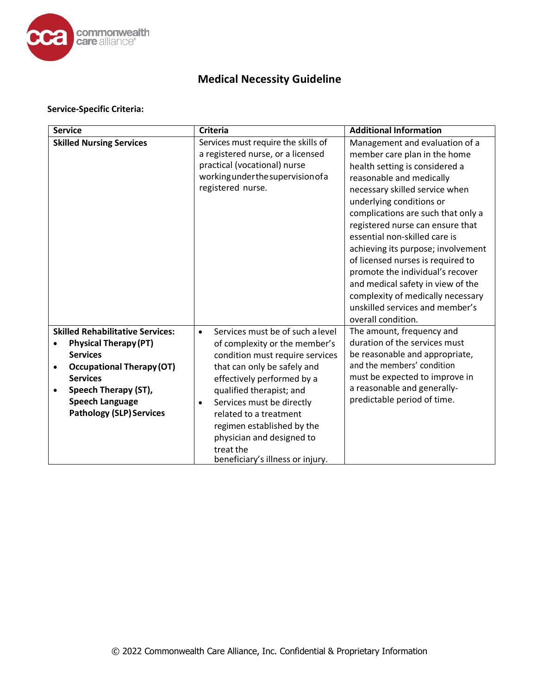

### **Service-Specific Criteria:**

| <b>Service</b>                                                                                                                                                                                                                                      | <b>Criteria</b>                                                                                                                                                                                                                                                                                                                                                                            | <b>Additional Information</b>                                                                                                                                                                                                                                                                                                                                                                                                                                                                                                                           |
|-----------------------------------------------------------------------------------------------------------------------------------------------------------------------------------------------------------------------------------------------------|--------------------------------------------------------------------------------------------------------------------------------------------------------------------------------------------------------------------------------------------------------------------------------------------------------------------------------------------------------------------------------------------|---------------------------------------------------------------------------------------------------------------------------------------------------------------------------------------------------------------------------------------------------------------------------------------------------------------------------------------------------------------------------------------------------------------------------------------------------------------------------------------------------------------------------------------------------------|
| <b>Skilled Nursing Services</b>                                                                                                                                                                                                                     | Services must require the skills of<br>a registered nurse, or a licensed<br>practical (vocational) nurse<br>working under the supervision of a<br>registered nurse.                                                                                                                                                                                                                        | Management and evaluation of a<br>member care plan in the home<br>health setting is considered a<br>reasonable and medically<br>necessary skilled service when<br>underlying conditions or<br>complications are such that only a<br>registered nurse can ensure that<br>essential non-skilled care is<br>achieving its purpose; involvement<br>of licensed nurses is required to<br>promote the individual's recover<br>and medical safety in view of the<br>complexity of medically necessary<br>unskilled services and member's<br>overall condition. |
| <b>Skilled Rehabilitative Services:</b><br><b>Physical Therapy (PT)</b><br><b>Services</b><br><b>Occupational Therapy (OT)</b><br>$\bullet$<br><b>Services</b><br>Speech Therapy (ST),<br><b>Speech Language</b><br><b>Pathology (SLP) Services</b> | Services must be of such a level<br>$\bullet$<br>of complexity or the member's<br>condition must require services<br>that can only be safely and<br>effectively performed by a<br>qualified therapist; and<br>Services must be directly<br>$\bullet$<br>related to a treatment<br>regimen established by the<br>physician and designed to<br>treat the<br>beneficiary's illness or injury. | The amount, frequency and<br>duration of the services must<br>be reasonable and appropriate,<br>and the members' condition<br>must be expected to improve in<br>a reasonable and generally-<br>predictable period of time.                                                                                                                                                                                                                                                                                                                              |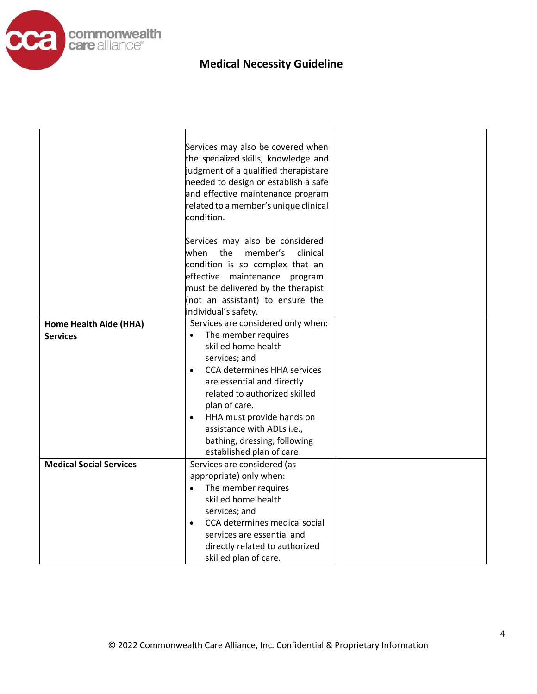

|                                | Services may also be covered when<br>the specialized skills, knowledge and<br>judgment of a qualified therapistare<br>needed to design or establish a safe<br>and effective maintenance program<br>related to a member's unique clinical<br>condition.                                                                                          |  |
|--------------------------------|-------------------------------------------------------------------------------------------------------------------------------------------------------------------------------------------------------------------------------------------------------------------------------------------------------------------------------------------------|--|
|                                | Services may also be considered<br>when<br>the<br>member's<br>clinical<br>condition is so complex that an                                                                                                                                                                                                                                       |  |
|                                | effective maintenance program<br>must be delivered by the therapist<br>(not an assistant) to ensure the                                                                                                                                                                                                                                         |  |
|                                | individual's safety.                                                                                                                                                                                                                                                                                                                            |  |
| Home Health Aide (HHA)         | Services are considered only when:                                                                                                                                                                                                                                                                                                              |  |
| <b>Services</b>                | The member requires<br>$\bullet$<br>skilled home health<br>services; and<br><b>CCA determines HHA services</b><br>$\bullet$<br>are essential and directly<br>related to authorized skilled<br>plan of care.<br>HHA must provide hands on<br>$\bullet$<br>assistance with ADLs i.e.,<br>bathing, dressing, following<br>established plan of care |  |
| <b>Medical Social Services</b> | Services are considered (as<br>appropriate) only when:<br>The member requires<br>$\bullet$<br>skilled home health<br>services; and<br>CCA determines medical social<br>$\bullet$<br>services are essential and<br>directly related to authorized<br>skilled plan of care.                                                                       |  |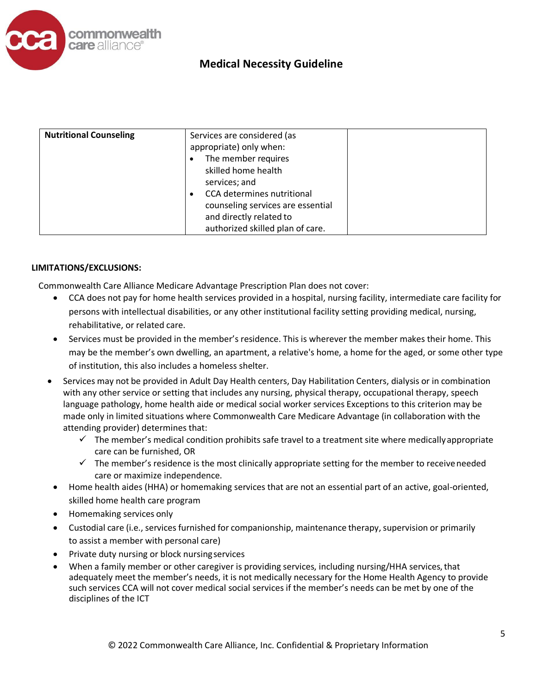

| <b>Nutritional Counseling</b> | Services are considered (as<br>appropriate) only when:<br>The member requires<br>skilled home health<br>services; and<br>CCA determines nutritional<br>counseling services are essential<br>and directly related to |  |
|-------------------------------|---------------------------------------------------------------------------------------------------------------------------------------------------------------------------------------------------------------------|--|
|                               | authorized skilled plan of care.                                                                                                                                                                                    |  |

## **LIMITATIONS/EXCLUSIONS:**

Commonwealth Care Alliance Medicare Advantage Prescription Plan does not cover:

- CCA does not pay for home health services provided in a hospital, nursing facility, intermediate care facility for persons with intellectual disabilities, or any other institutional facility setting providing medical, nursing, rehabilitative, or related care.
- Services must be provided in the member's residence. This is wherever the member makes their home. This may be the member's own dwelling, an apartment, a relative's home, a home for the aged, or some other type of institution, this also includes a homeless shelter.
- Services may not be provided in Adult Day Health centers, Day Habilitation Centers, dialysis or in combination with any other service or setting that includes any nursing, physical therapy, occupational therapy, speech language pathology, home health aide or medical social worker services Exceptions to this criterion may be made only in limited situations where Commonwealth Care Medicare Advantage (in collaboration with the attending provider) determines that:
	- $\checkmark$  The member's medical condition prohibits safe travel to a treatment site where medically appropriate care can be furnished, OR
	- $\checkmark$  The member's residence is the most clinically appropriate setting for the member to receive needed care or maximize independence.
- Home health aides (HHA) or homemaking services that are not an essential part of an active, goal-oriented, skilled home health care program
- Homemaking services only
- Custodial care (i.e., services furnished for companionship, maintenance therapy, supervision or primarily to assist a member with personal care)
- Private duty nursing or block nursingservices
- When a family member or other caregiver is providing services, including nursing/HHA services, that adequately meet the member's needs, it is not medically necessary for the Home Health Agency to provide such services CCA will not cover medical social services if the member's needs can be met by one of the disciplines of the ICT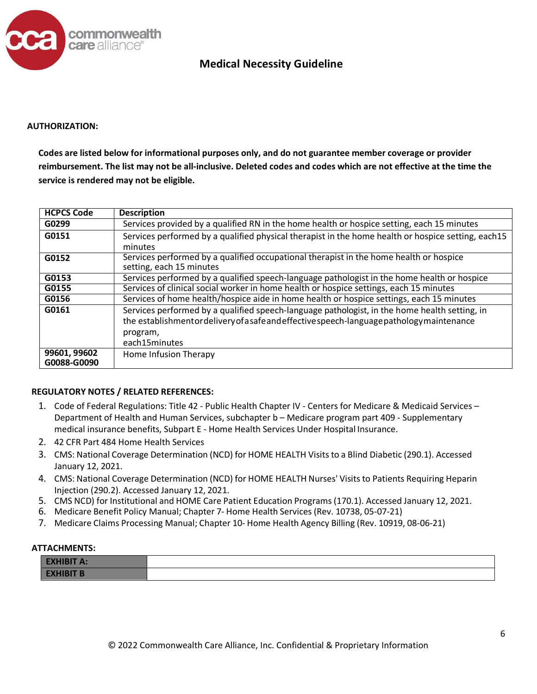

#### **AUTHORIZATION:**

**Codes are listed below for informational purposes only, and do not guarantee member coverage or provider reimbursement. The list may not be all-inclusive. Deleted codes and codes which are not effective at the time the service is rendered may not be eligible.**

| <b>HCPCS Code</b>           | <b>Description</b>                                                                                                                                                                                                      |
|-----------------------------|-------------------------------------------------------------------------------------------------------------------------------------------------------------------------------------------------------------------------|
| G0299                       | Services provided by a qualified RN in the home health or hospice setting, each 15 minutes                                                                                                                              |
| G0151                       | Services performed by a qualified physical therapist in the home health or hospice setting, each15<br>minutes                                                                                                           |
| G0152                       | Services performed by a qualified occupational therapist in the home health or hospice<br>setting, each 15 minutes                                                                                                      |
| G0153                       | Services performed by a qualified speech-language pathologist in the home health or hospice                                                                                                                             |
| G0155                       | Services of clinical social worker in home health or hospice settings, each 15 minutes                                                                                                                                  |
| G0156                       | Services of home health/hospice aide in home health or hospice settings, each 15 minutes                                                                                                                                |
| G0161                       | Services performed by a qualified speech-language pathologist, in the home health setting, in<br>the establishmentordelivery of a safe and effective speech-language pathology maintenance<br>program,<br>each15minutes |
| 99601, 99602<br>G0088-G0090 | Home Infusion Therapy                                                                                                                                                                                                   |

## **REGULATORY NOTES / RELATED REFERENCES:**

- 1. Code of Federal Regulations: Title 42 Public Health Chapter IV Centers for Medicare & Medicaid Services Department of Health and Human Services, subchapter b – Medicare program part 409 - Supplementary medical insurance benefits, Subpart E - Home Health Services Under Hospital Insurance.
- 2. 42 CFR Part 484 Home Health Services
- 3. CMS: National Coverage Determination (NCD) for HOME HEALTH Visits to a Blind Diabetic (290.1). Accessed January 12, 2021.
- 4. CMS: National Coverage Determination (NCD) for HOME HEALTH Nurses' Visits to Patients Requiring Heparin Injection (290.2). Accessed January 12, 2021.
- 5. CMS NCD) for Institutional and HOME Care Patient Education Programs (170.1). Accessed January 12, 2021.
- 6. Medicare Benefit Policy Manual; Chapter 7- Home Health Services (Rev. 10738, 05-07-21)
- 7. Medicare Claims Processing Manual; Chapter 10- Home Health Agency Billing (Rev. 10919, 08-06-21)

#### **ATTACHMENTS:**

| <b>EXHIBIT A:</b> |  |
|-------------------|--|
| <b>EXHIBIT B</b>  |  |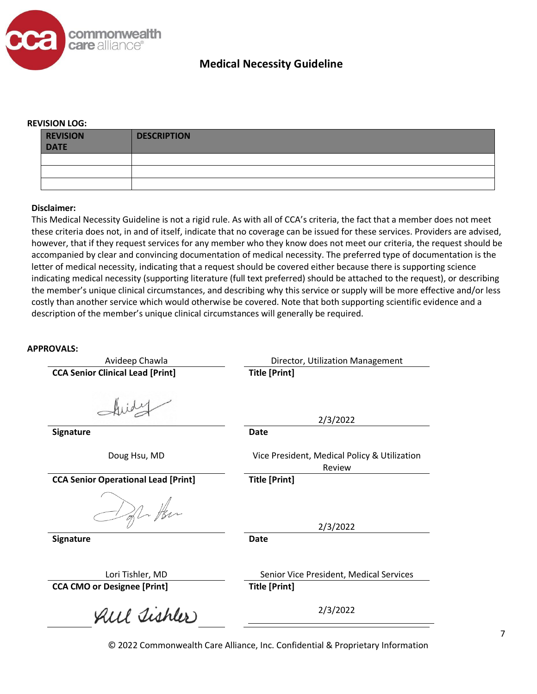

#### **REVISION LOG:**

| <b>REVISION</b><br><b>DATE</b> | <b>DESCRIPTION</b> |
|--------------------------------|--------------------|
|                                |                    |
|                                |                    |
|                                |                    |

#### **Disclaimer:**

This Medical Necessity Guideline is not a rigid rule. As with all of CCA's criteria, the fact that a member does not meet these criteria does not, in and of itself, indicate that no coverage can be issued for these services. Providers are advised, however, that if they request services for any member who they know does not meet our criteria, the request should be accompanied by clear and convincing documentation of medical necessity. The preferred type of documentation is the letter of medical necessity, indicating that a request should be covered either because there is supporting science indicating medical necessity (supporting literature (full text preferred) should be attached to the request), or describing the member's unique clinical circumstances, and describing why this service or supply will be more effective and/or less costly than another service which would otherwise be covered. Note that both supporting scientific evidence and a description of the member's unique clinical circumstances will generally be required.

#### **APPROVALS:**

| Avideep Chawla                             | Director, Utilization Management                       |
|--------------------------------------------|--------------------------------------------------------|
| <b>CCA Senior Clinical Lead [Print]</b>    | <b>Title [Print]</b>                                   |
|                                            | 2/3/2022                                               |
| <b>Signature</b>                           | Date                                                   |
| Doug Hsu, MD                               | Vice President, Medical Policy & Utilization<br>Review |
| <b>CCA Senior Operational Lead [Print]</b> | <b>Title [Print]</b>                                   |
| fl. Her                                    | 2/3/2022                                               |
| <b>Signature</b>                           | Date                                                   |
| Lori Tishler, MD                           | Senior Vice President, Medical Services                |
| <b>CCA CMO or Designee [Print]</b>         | <b>Title [Print]</b>                                   |
| All Tishler                                | 2/3/2022                                               |
|                                            |                                                        |